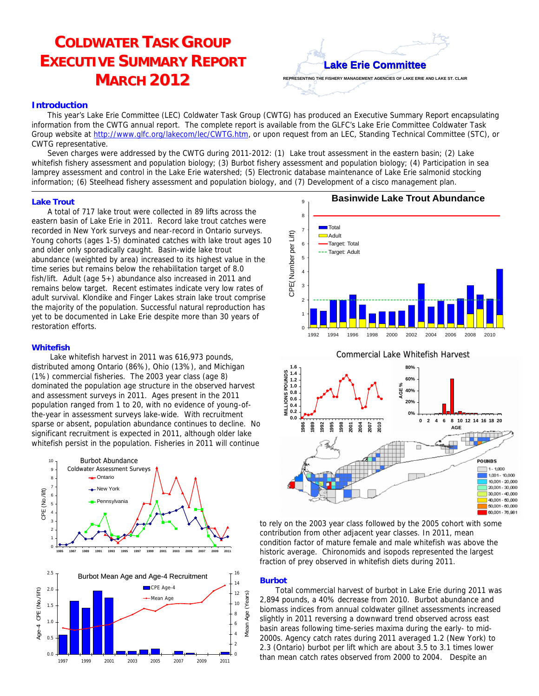# **COLDWATER TASK GROUP EXECUTIVE SUMMARY REPORT MARCH 2012**



## *Introduction*

This year's Lake Erie Committee (LEC) Coldwater Task Group (CWTG) has produced an Executive Summary Report encapsulating information from the CWTG annual report. The complete report is available from the GLFC's Lake Erie Committee Coldwater Task Group website at http://www.glfc.org/lakecom/lec/CWTG.htm, or upon request from an LEC, Standing Technical Committee (STC), or CWTG representative.

Seven charges were addressed by the CWTG during 2011-2012: (1) Lake trout assessment in the eastern basin; (2) Lake whitefish fishery assessment and population biology; (3) Burbot fishery assessment and population biology; (4) Participation in sea lamprey assessment and control in the Lake Erie watershed; (5) Electronic database maintenance of Lake Erie salmonid stocking information; (6) Steelhead fishery assessment and population biology, and (7) Development of a cisco management plan.

## *Lake Trout*

A total of 717 lake trout were collected in 89 lifts across the eastern basin of Lake Erie in 2011. Record lake trout catches were recorded in New York surveys and near-record in Ontario surveys. Fecorded in New York surveys and Heal-Hecord in Ontario surveys.<br>
Young cohorts (ages 1-5) dominated catches with lake trout ages 10<br>
and older only sporadically caught. Basin-wide lake trout<br>
abundance (weighted by area) and older only sporadically caught. Basin-wide lake trout abundance (weighted by area) increased to its highest value in the time series but remains below the rehabilitation target of 8.0 fish/lift. Adult (age 5+) abundance also increased in 2011 and remains below target. Recent estimates indicate very low rates of adult survival. Klondike and Finger Lakes strain lake trout comprise the majority of the population. Successful natural reproduction has yet to be documented in Lake Erie despite more than 30 years of restoration efforts.

## *Whitefish*

Lake whitefish harvest in 2011 was 616,973 pounds, distributed among Ontario (86%), Ohio (13%), and Michigan (1%) commercial fisheries. The 2003 year class (age 8) dominated the population age structure in the observed harvest and assessment surveys in 2011. Ages present in the 2011 population ranged from 1 to 20, with no evidence of young-ofthe-year in assessment surveys lake-wide. With recruitment sparse or absent, population abundance continues to decline. No significant recruitment is expected in 2011, although older lake whitefish persist in the population. Fisheries in 2011 will continue







to rely on the 2003 year class followed by the 2005 cohort with some contribution from other adjacent year classes. In 2011, mean condition factor of mature female and male whitefish was above the historic average. Chironomids and isopods represented the largest fraction of prey observed in whitefish diets during 2011.

# *Burbot*

Total commercial harvest of burbot in Lake Erie during 2011 was 2,894 pounds, a 40% decrease from 2010. Burbot abundance and biomass indices from annual coldwater gillnet assessments increased slightly in 2011 reversing a downward trend observed across east basin areas following time-series maxima during the early- to mid- 2000s. Agency catch rates during 2011 averaged 1.2 (New York) to 2.3 (Ontario) burbot per lift which are about 3.5 to 3.1 times lower than mean catch rates observed from 2000 to 2004. Despite an